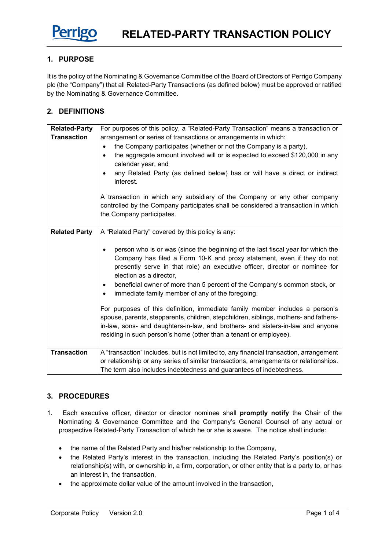

## **1. PURPOSE**

It is the policy of the Nominating & Governance Committee of the Board of Directors of Perrigo Company plc (the "Company") that all Related-Party Transactions (as defined below) must be approved or ratified by the Nominating & Governance Committee.

# **2. DEFINITIONS**

| <b>Related-Party</b> | For purposes of this policy, a "Related-Party Transaction" means a transaction or                                                                                                                                                                                                                                                                                                                    |
|----------------------|------------------------------------------------------------------------------------------------------------------------------------------------------------------------------------------------------------------------------------------------------------------------------------------------------------------------------------------------------------------------------------------------------|
| <b>Transaction</b>   | arrangement or series of transactions or arrangements in which:                                                                                                                                                                                                                                                                                                                                      |
|                      | the Company participates (whether or not the Company is a party),                                                                                                                                                                                                                                                                                                                                    |
|                      | the aggregate amount involved will or is expected to exceed \$120,000 in any<br>$\bullet$<br>calendar year, and<br>any Related Party (as defined below) has or will have a direct or indirect<br>interest.                                                                                                                                                                                           |
|                      | A transaction in which any subsidiary of the Company or any other company<br>controlled by the Company participates shall be considered a transaction in which<br>the Company participates.                                                                                                                                                                                                          |
| <b>Related Party</b> | A "Related Party" covered by this policy is any:                                                                                                                                                                                                                                                                                                                                                     |
|                      | person who is or was (since the beginning of the last fiscal year for which the<br>Company has filed a Form 10-K and proxy statement, even if they do not<br>presently serve in that role) an executive officer, director or nominee for<br>election as a director,<br>beneficial owner of more than 5 percent of the Company's common stock, or<br>immediate family member of any of the foregoing. |
|                      | For purposes of this definition, immediate family member includes a person's<br>spouse, parents, stepparents, children, stepchildren, siblings, mothers- and fathers-<br>in-law, sons- and daughters-in-law, and brothers- and sisters-in-law and anyone<br>residing in such person's home (other than a tenant or employee).                                                                        |
| <b>Transaction</b>   | A "transaction" includes, but is not limited to, any financial transaction, arrangement<br>or relationship or any series of similar transactions, arrangements or relationships.<br>The term also includes indebtedness and guarantees of indebtedness.                                                                                                                                              |

### **3. PROCEDURES**

- 1. Each executive officer, director or director nominee shall **promptly notify** the Chair of the Nominating & Governance Committee and the Company's General Counsel of any actual or prospective Related-Party Transaction of which he or she is aware. The notice shall include:
	- the name of the Related Party and his/her relationship to the Company,
	- the Related Party's interest in the transaction, including the Related Party's position(s) or relationship(s) with, or ownership in, a firm, corporation, or other entity that is a party to, or has an interest in, the transaction,
	- the approximate dollar value of the amount involved in the transaction,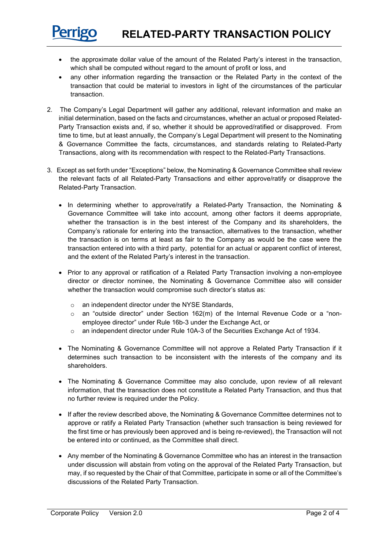

- the approximate dollar value of the amount of the Related Party's interest in the transaction, which shall be computed without regard to the amount of profit or loss, and
- any other information regarding the transaction or the Related Party in the context of the transaction that could be material to investors in light of the circumstances of the particular transaction.
- 2. The Company's Legal Department will gather any additional, relevant information and make an initial determination, based on the facts and circumstances, whether an actual or proposed Related-Party Transaction exists and, if so, whether it should be approved/ratified or disapproved. From time to time, but at least annually, the Company's Legal Department will present to the Nominating & Governance Committee the facts, circumstances, and standards relating to Related-Party Transactions, along with its recommendation with respect to the Related-Party Transactions.
- 3. Except as set forth under "Exceptions" below, the Nominating & Governance Committee shall review the relevant facts of all Related-Party Transactions and either approve/ratify or disapprove the Related-Party Transaction.
	- In determining whether to approve/ratify a Related-Party Transaction, the Nominating & Governance Committee will take into account, among other factors it deems appropriate, whether the transaction is in the best interest of the Company and its shareholders, the Company's rationale for entering into the transaction, alternatives to the transaction, whether the transaction is on terms at least as fair to the Company as would be the case were the transaction entered into with a third party, potential for an actual or apparent conflict of interest, and the extent of the Related Party's interest in the transaction.
	- Prior to any approval or ratification of a Related Party Transaction involving a non-employee director or director nominee, the Nominating & Governance Committee also will consider whether the transaction would compromise such director's status as:
		- o an independent director under the NYSE Standards,
		- $\circ$  an "outside director" under Section 162(m) of the Internal Revenue Code or a "nonemployee director" under Rule 16b-3 under the Exchange Act, or
		- o an independent director under Rule 10A-3 of the Securities Exchange Act of 1934.
	- The Nominating & Governance Committee will not approve a Related Party Transaction if it determines such transaction to be inconsistent with the interests of the company and its shareholders.
	- The Nominating & Governance Committee may also conclude, upon review of all relevant information, that the transaction does not constitute a Related Party Transaction, and thus that no further review is required under the Policy.
	- If after the review described above, the Nominating & Governance Committee determines not to approve or ratify a Related Party Transaction (whether such transaction is being reviewed for the first time or has previously been approved and is being re-reviewed), the Transaction will not be entered into or continued, as the Committee shall direct.
	- Any member of the Nominating & Governance Committee who has an interest in the transaction under discussion will abstain from voting on the approval of the Related Party Transaction, but may, if so requested by the Chair of that Committee, participate in some or all of the Committee's discussions of the Related Party Transaction.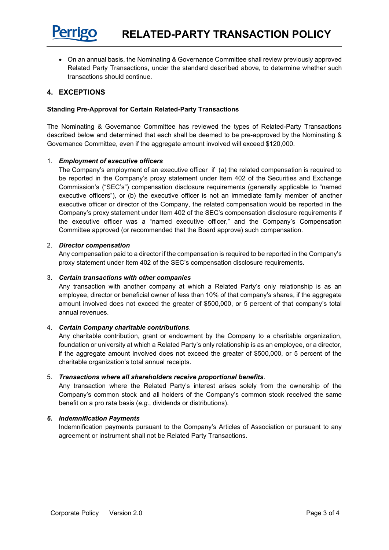

• On an annual basis, the Nominating & Governance Committee shall review previously approved Related Party Transactions, under the standard described above, to determine whether such transactions should continue.

# **4. EXCEPTIONS**

### **Standing Pre-Approval for Certain Related-Party Transactions**

The Nominating & Governance Committee has reviewed the types of Related-Party Transactions described below and determined that each shall be deemed to be pre-approved by the Nominating & Governance Committee, even if the aggregate amount involved will exceed \$120,000.

#### 1. *Employment of executive officers*

The Company's employment of an executive officer if (a) the related compensation is required to be reported in the Company's proxy statement under Item 402 of the Securities and Exchange Commission's ("SEC's") compensation disclosure requirements (generally applicable to "named executive officers"), or (b) the executive officer is not an immediate family member of another executive officer or director of the Company, the related compensation would be reported in the Company's proxy statement under Item 402 of the SEC's compensation disclosure requirements if the executive officer was a "named executive officer," and the Company's Compensation Committee approved (or recommended that the Board approve) such compensation.

#### 2. *Director compensation*

Any compensation paid to a director if the compensation is required to be reported in the Company's proxy statement under Item 402 of the SEC's compensation disclosure requirements.

#### 3. *Certain transactions with other companies*

Any transaction with another company at which a Related Party's only relationship is as an employee, director or beneficial owner of less than 10% of that company's shares, if the aggregate amount involved does not exceed the greater of \$500,000, or 5 percent of that company's total annual revenues.

#### 4. *Certain Company charitable contributions*.

Any charitable contribution, grant or endowment by the Company to a charitable organization, foundation or university at which a Related Party's only relationship is as an employee, or a director, if the aggregate amount involved does not exceed the greater of \$500,000, or 5 percent of the charitable organization's total annual receipts.

#### 5. *Transactions where all shareholders receive proportional benefits*.

Any transaction where the Related Party's interest arises solely from the ownership of the Company's common stock and all holders of the Company's common stock received the same benefit on a pro rata basis (*e.g.*, dividends or distributions).

### *6. Indemnification Payments*

Indemnification payments pursuant to the Company's Articles of Association or pursuant to any agreement or instrument shall not be Related Party Transactions.